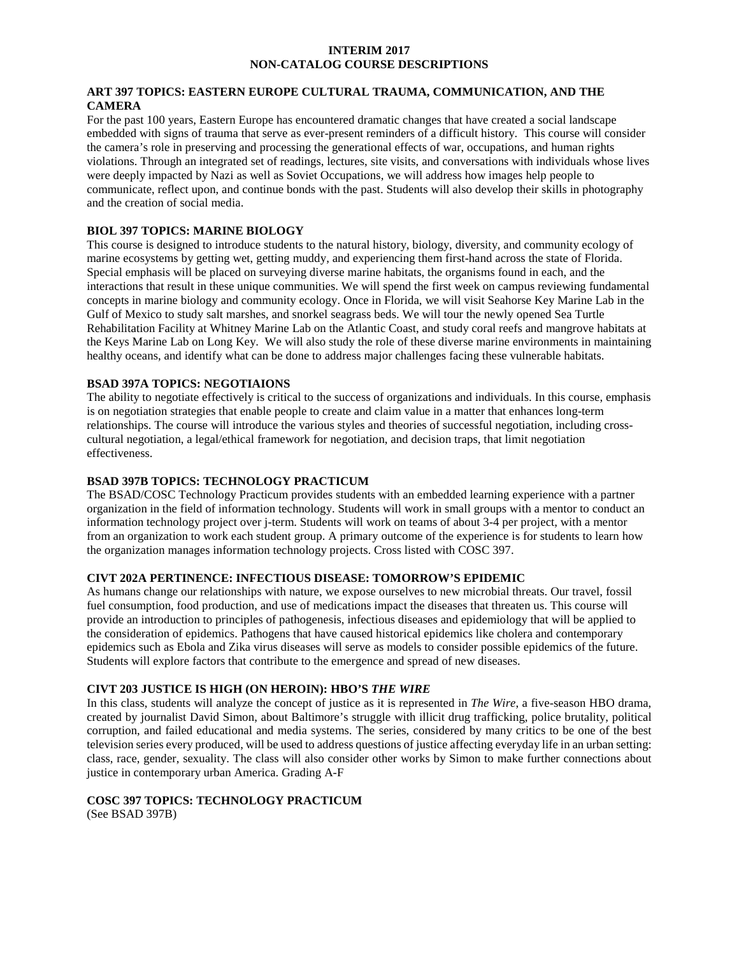### **INTERIM 2017 NON-CATALOG COURSE DESCRIPTIONS**

# **ART 397 TOPICS: EASTERN EUROPE CULTURAL TRAUMA, COMMUNICATION, AND THE CAMERA**

For the past 100 years, Eastern Europe has encountered dramatic changes that have created a social landscape embedded with signs of trauma that serve as ever-present reminders of a difficult history. This course will consider the camera's role in preserving and processing the generational effects of war, occupations, and human rights violations. Through an integrated set of readings, lectures, site visits, and conversations with individuals whose lives were deeply impacted by Nazi as well as Soviet Occupations, we will address how images help people to communicate, reflect upon, and continue bonds with the past. Students will also develop their skills in photography and the creation of social media.

## **BIOL 397 TOPICS: MARINE BIOLOGY**

This course is designed to introduce students to the natural history, biology, diversity, and community ecology of marine ecosystems by getting wet, getting muddy, and experiencing them first-hand across the state of Florida. Special emphasis will be placed on surveying diverse marine habitats, the organisms found in each, and the interactions that result in these unique communities. We will spend the first week on campus reviewing fundamental concepts in marine biology and community ecology. Once in Florida, we will visit Seahorse Key Marine Lab in the Gulf of Mexico to study salt marshes, and snorkel seagrass beds. We will tour the newly opened Sea Turtle Rehabilitation Facility at Whitney Marine Lab on the Atlantic Coast, and study coral reefs and mangrove habitats at the Keys Marine Lab on Long Key. We will also study the role of these diverse marine environments in maintaining healthy oceans, and identify what can be done to address major challenges facing these vulnerable habitats.

### **BSAD 397A TOPICS: NEGOTIAIONS**

The ability to negotiate effectively is critical to the success of organizations and individuals. In this course, emphasis is on negotiation strategies that enable people to create and claim value in a matter that enhances long-term relationships. The course will introduce the various styles and theories of successful negotiation, including crosscultural negotiation, a legal/ethical framework for negotiation, and decision traps, that limit negotiation effectiveness.

## **BSAD 397B TOPICS: TECHNOLOGY PRACTICUM**

The BSAD/COSC Technology Practicum provides students with an embedded learning experience with a partner organization in the field of information technology. Students will work in small groups with a mentor to conduct an information technology project over j-term. Students will work on teams of about 3-4 per project, with a mentor from an organization to work each student group. A primary outcome of the experience is for students to learn how the organization manages information technology projects. Cross listed with COSC 397.

# **CIVT 202A PERTINENCE: INFECTIOUS DISEASE: TOMORROW'S EPIDEMIC**

As humans change our relationships with nature, we expose ourselves to new microbial threats. Our travel, fossil fuel consumption, food production, and use of medications impact the diseases that threaten us. This course will provide an introduction to principles of pathogenesis, infectious diseases and epidemiology that will be applied to the consideration of epidemics. Pathogens that have caused historical epidemics like cholera and contemporary epidemics such as Ebola and Zika virus diseases will serve as models to consider possible epidemics of the future. Students will explore factors that contribute to the emergence and spread of new diseases.

#### **CIVT 203 JUSTICE IS HIGH (ON HEROIN): HBO'S** *THE WIRE*

In this class, students will analyze the concept of justice as it is represented in *The Wire*, a five-season HBO drama, created by journalist David Simon, about Baltimore's struggle with illicit drug trafficking, police brutality, political corruption, and failed educational and media systems. The series, considered by many critics to be one of the best television series every produced, will be used to address questions of justice affecting everyday life in an urban setting: class, race, gender, sexuality. The class will also consider other works by Simon to make further connections about justice in contemporary urban America. Grading A-F

### **COSC 397 TOPICS: TECHNOLOGY PRACTICUM**  (See BSAD 397B)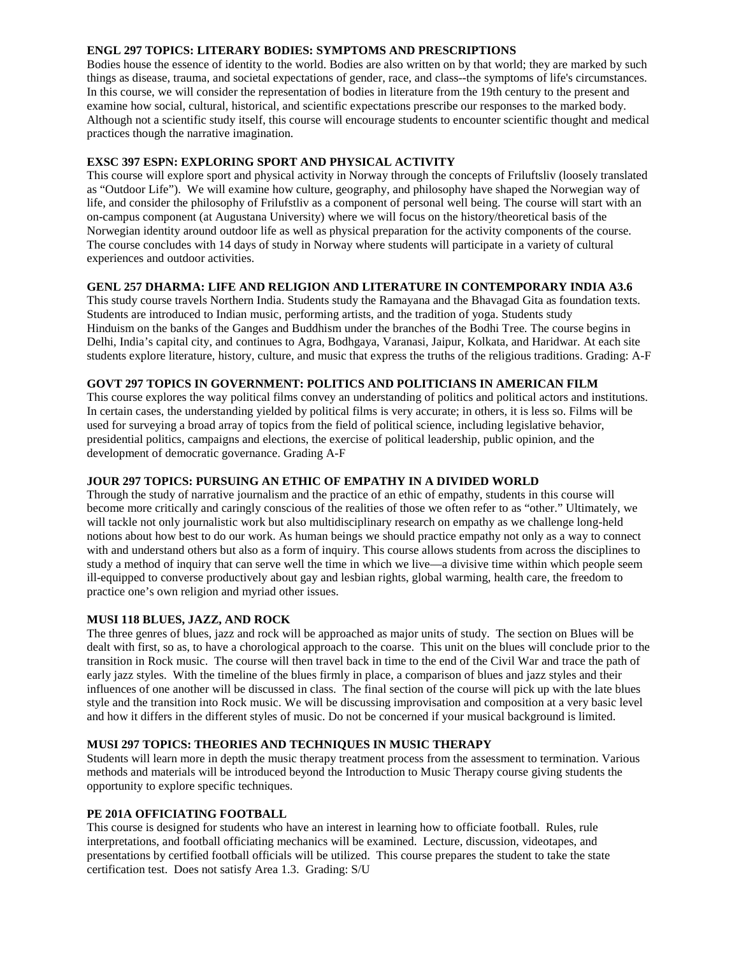# **ENGL 297 TOPICS: LITERARY BODIES: SYMPTOMS AND PRESCRIPTIONS**

Bodies house the essence of identity to the world. Bodies are also written on by that world; they are marked by such things as disease, trauma, and societal expectations of gender, race, and class--the symptoms of life's circumstances. In this course, we will consider the representation of bodies in literature from the 19th century to the present and examine how social, cultural, historical, and scientific expectations prescribe our responses to the marked body. Although not a scientific study itself, this course will encourage students to encounter scientific thought and medical practices though the narrative imagination.

# **EXSC 397 ESPN: EXPLORING SPORT AND PHYSICAL ACTIVITY**

This course will explore sport and physical activity in Norway through the concepts of Friluftsliv (loosely translated as "Outdoor Life"). We will examine how culture, geography, and philosophy have shaped the Norwegian way of life, and consider the philosophy of Frilufstliv as a component of personal well being. The course will start with an on-campus component (at Augustana University) where we will focus on the history/theoretical basis of the Norwegian identity around outdoor life as well as physical preparation for the activity components of the course. The course concludes with 14 days of study in Norway where students will participate in a variety of cultural experiences and outdoor activities.

# **GENL 257 DHARMA: LIFE AND RELIGION AND LITERATURE IN CONTEMPORARY INDIA A3.6**

This study course travels Northern India. Students study the Ramayana and the Bhavagad Gita as foundation texts. Students are introduced to Indian music, performing artists, and the tradition of yoga. Students study Hinduism on the banks of the Ganges and Buddhism under the branches of the Bodhi Tree. The course begins in Delhi, India's capital city, and continues to Agra, Bodhgaya, Varanasi, Jaipur, Kolkata, and Haridwar. At each site students explore literature, history, culture, and music that express the truths of the religious traditions. Grading: A-F

# **GOVT 297 TOPICS IN GOVERNMENT: POLITICS AND POLITICIANS IN AMERICAN FILM**

This course explores the way political films convey an understanding of politics and political actors and institutions. In certain cases, the understanding yielded by political films is very accurate; in others, it is less so. Films will be used for surveying a broad array of topics from the field of political science, including legislative behavior, presidential politics, campaigns and elections, the exercise of political leadership, public opinion, and the development of democratic governance. Grading A-F

# **JOUR 297 TOPICS: PURSUING AN ETHIC OF EMPATHY IN A DIVIDED WORLD**

Through the study of narrative journalism and the practice of an ethic of empathy, students in this course will become more critically and caringly conscious of the realities of those we often refer to as "other." Ultimately, we will tackle not only journalistic work but also multidisciplinary research on empathy as we challenge long-held notions about how best to do our work. As human beings we should practice empathy not only as a way to connect with and understand others but also as a form of inquiry. This course allows students from across the disciplines to study a method of inquiry that can serve well the time in which we live—a divisive time within which people seem ill-equipped to converse productively about gay and lesbian rights, global warming, health care, the freedom to practice one's own religion and myriad other issues.

# **MUSI 118 BLUES, JAZZ, AND ROCK**

The three genres of blues, jazz and rock will be approached as major units of study. The section on Blues will be dealt with first, so as, to have a chorological approach to the coarse. This unit on the blues will conclude prior to the transition in Rock music. The course will then travel back in time to the end of the Civil War and trace the path of early jazz styles. With the timeline of the blues firmly in place, a comparison of blues and jazz styles and their influences of one another will be discussed in class. The final section of the course will pick up with the late blues style and the transition into Rock music. We will be discussing improvisation and composition at a very basic level and how it differs in the different styles of music. Do not be concerned if your musical background is limited.

# **MUSI 297 TOPICS: THEORIES AND TECHNIQUES IN MUSIC THERAPY**

Students will learn more in depth the music therapy treatment process from the assessment to termination. Various methods and materials will be introduced beyond the Introduction to Music Therapy course giving students the opportunity to explore specific techniques.

# **PE 201A OFFICIATING FOOTBALL**

This course is designed for students who have an interest in learning how to officiate football. Rules, rule interpretations, and football officiating mechanics will be examined. Lecture, discussion, videotapes, and presentations by certified football officials will be utilized. This course prepares the student to take the state certification test. Does not satisfy Area 1.3. Grading: S/U